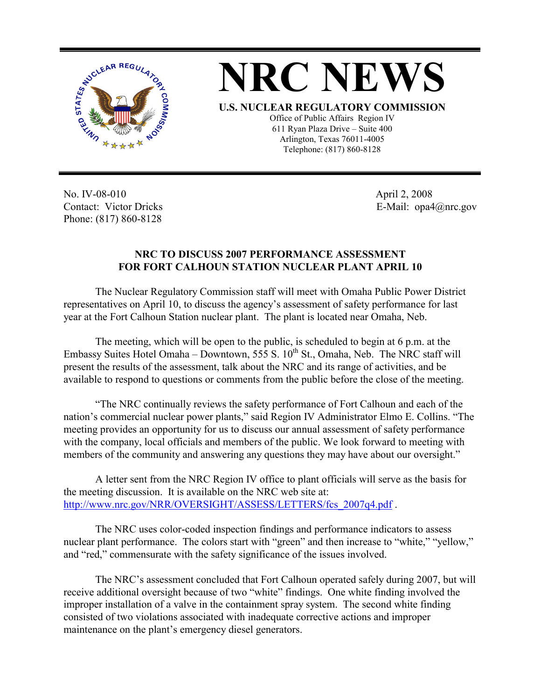

**NRC NEWS U.S. NUCLEAR REGULATORY COMMISSION** Office of Public Affairs Region IV 611 Ryan Plaza Drive – Suite 400

Arlington, Texas 76011-4005 Telephone: (817) 860-8128

No. IV-08-010 Contact: Victor Dricks Phone: (817) 860-8128

 April 2, 2008 E-Mail: opa4@nrc.gov

## **NRC TO DISCUSS 2007 PERFORMANCE ASSESSMENT FOR FORT CALHOUN STATION NUCLEAR PLANT APRIL 10**

 The Nuclear Regulatory Commission staff will meet with Omaha Public Power District representatives on April 10, to discuss the agency's assessment of safety performance for last year at the Fort Calhoun Station nuclear plant. The plant is located near Omaha, Neb.

 The meeting, which will be open to the public, is scheduled to begin at 6 p.m. at the Embassy Suites Hotel Omaha – Downtown, 555 S.  $10^{th}$  St., Omaha, Neb. The NRC staff will present the results of the assessment, talk about the NRC and its range of activities, and be available to respond to questions or comments from the public before the close of the meeting.

 "The NRC continually reviews the safety performance of Fort Calhoun and each of the nation's commercial nuclear power plants," said Region IV Administrator Elmo E. Collins. "The meeting provides an opportunity for us to discuss our annual assessment of safety performance with the company, local officials and members of the public. We look forward to meeting with members of the community and answering any questions they may have about our oversight."

 A letter sent from the NRC Region IV office to plant officials will serve as the basis for the meeting discussion. It is available on the NRC web site at: http://www.nrc.gov/NRR/OVERSIGHT/ASSESS/LETTERS/fcs\_2007q4.pdf .

 The NRC uses color-coded inspection findings and performance indicators to assess nuclear plant performance. The colors start with "green" and then increase to "white," "yellow," and "red," commensurate with the safety significance of the issues involved.

 The NRC's assessment concluded that Fort Calhoun operated safely during 2007, but will receive additional oversight because of two "white" findings. One white finding involved the improper installation of a valve in the containment spray system. The second white finding consisted of two violations associated with inadequate corrective actions and improper maintenance on the plant's emergency diesel generators.